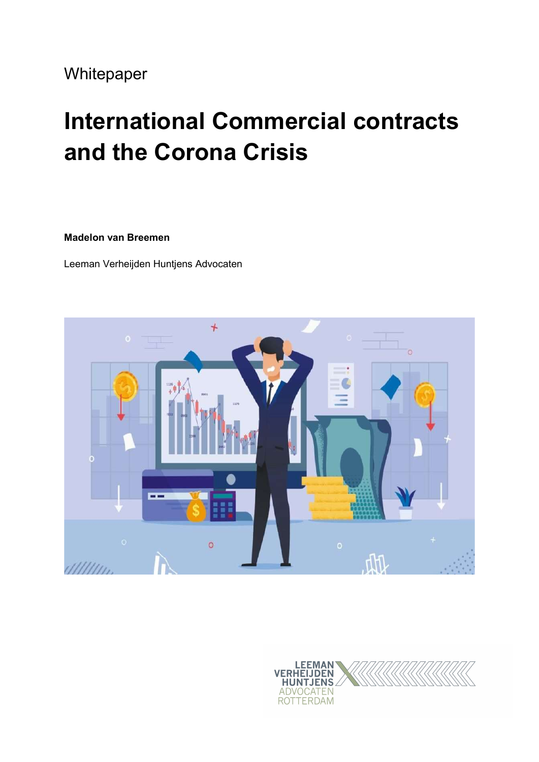### Whitepaper

# International Commercial contracts and the Corona Crisis

#### Madelon van Breemen

Leeman Verheijden Huntjens Advocaten



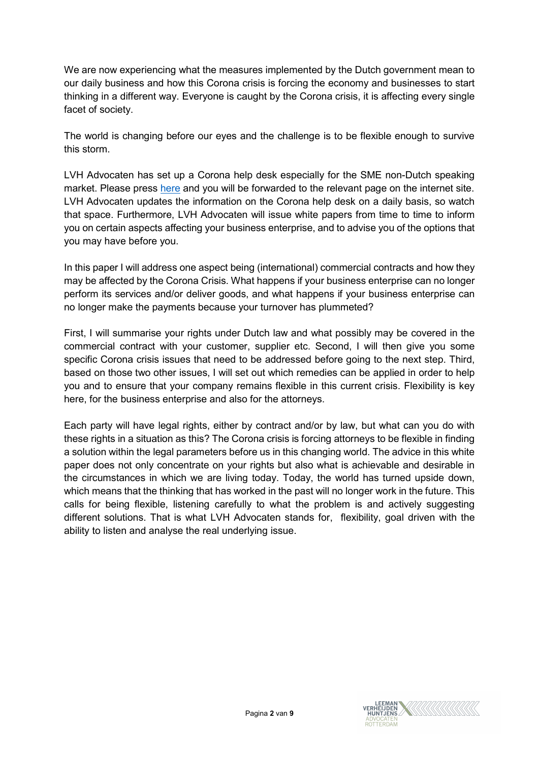We are now experiencing what the measures implemented by the Dutch government mean to our daily business and how this Corona crisis is forcing the economy and businesses to start thinking in a different way. Everyone is caught by the Corona crisis, it is affecting every single facet of society.

The world is changing before our eyes and the challenge is to be flexible enough to survive this storm.

LVH Advocaten has set up a Corona help desk especially for the SME non-Dutch speaking market. Please press here and you will be forwarded to the relevant page on the internet site. LVH Advocaten updates the information on the Corona help desk on a daily basis, so watch that space. Furthermore, LVH Advocaten will issue white papers from time to time to inform you on certain aspects affecting your business enterprise, and to advise you of the options that you may have before you.

In this paper I will address one aspect being (international) commercial contracts and how they may be affected by the Corona Crisis. What happens if your business enterprise can no longer perform its services and/or deliver goods, and what happens if your business enterprise can no longer make the payments because your turnover has plummeted?

First, I will summarise your rights under Dutch law and what possibly may be covered in the commercial contract with your customer, supplier etc. Second, I will then give you some specific Corona crisis issues that need to be addressed before going to the next step. Third, based on those two other issues, I will set out which remedies can be applied in order to help you and to ensure that your company remains flexible in this current crisis. Flexibility is key here, for the business enterprise and also for the attorneys.

Each party will have legal rights, either by contract and/or by law, but what can you do with these rights in a situation as this? The Corona crisis is forcing attorneys to be flexible in finding a solution within the legal parameters before us in this changing world. The advice in this white paper does not only concentrate on your rights but also what is achievable and desirable in the circumstances in which we are living today. Today, the world has turned upside down, which means that the thinking that has worked in the past will no longer work in the future. This calls for being flexible, listening carefully to what the problem is and actively suggesting different solutions. That is what LVH Advocaten stands for, flexibility, goal driven with the ability to listen and analyse the real underlying issue.

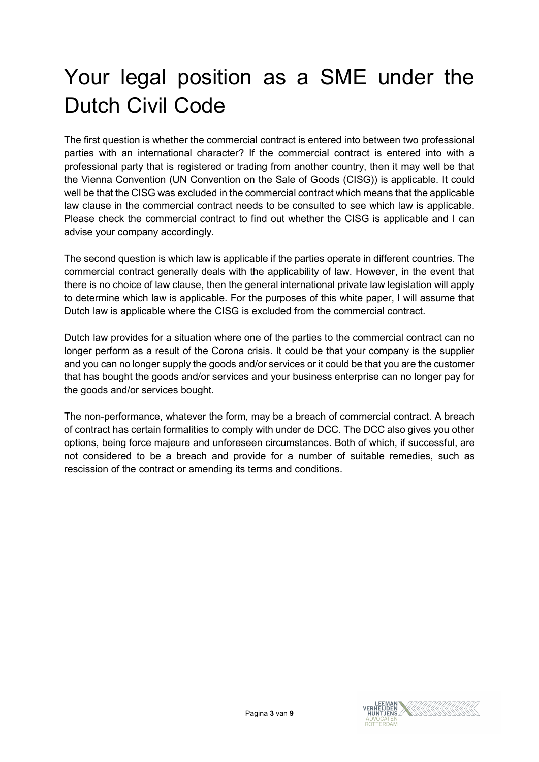## Your legal position as a SME under the Dutch Civil Code

The first question is whether the commercial contract is entered into between two professional parties with an international character? If the commercial contract is entered into with a professional party that is registered or trading from another country, then it may well be that the Vienna Convention (UN Convention on the Sale of Goods (CISG)) is applicable. It could well be that the CISG was excluded in the commercial contract which means that the applicable law clause in the commercial contract needs to be consulted to see which law is applicable. Please check the commercial contract to find out whether the CISG is applicable and I can advise your company accordingly.

The second question is which law is applicable if the parties operate in different countries. The commercial contract generally deals with the applicability of law. However, in the event that there is no choice of law clause, then the general international private law legislation will apply to determine which law is applicable. For the purposes of this white paper, I will assume that Dutch law is applicable where the CISG is excluded from the commercial contract.

Dutch law provides for a situation where one of the parties to the commercial contract can no longer perform as a result of the Corona crisis. It could be that your company is the supplier and you can no longer supply the goods and/or services or it could be that you are the customer that has bought the goods and/or services and your business enterprise can no longer pay for the goods and/or services bought.

The non-performance, whatever the form, may be a breach of commercial contract. A breach of contract has certain formalities to comply with under de DCC. The DCC also gives you other options, being force majeure and unforeseen circumstances. Both of which, if successful, are not considered to be a breach and provide for a number of suitable remedies, such as rescission of the contract or amending its terms and conditions.

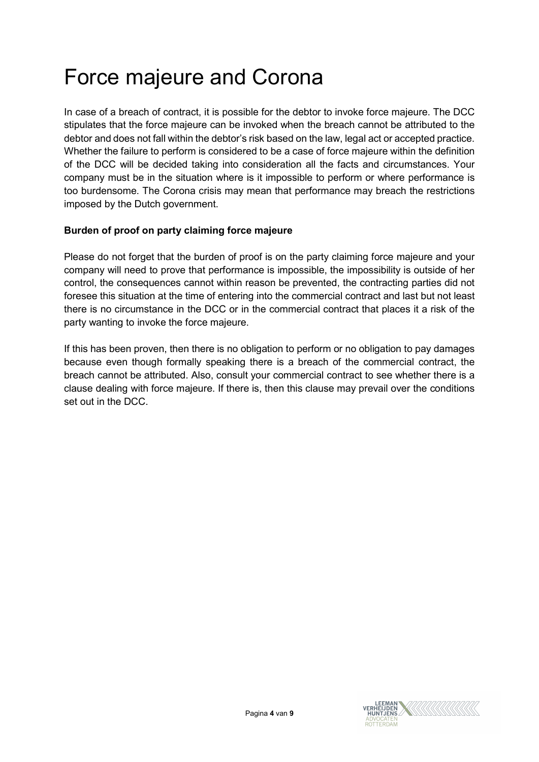## Force majeure and Corona

In case of a breach of contract, it is possible for the debtor to invoke force majeure. The DCC stipulates that the force majeure can be invoked when the breach cannot be attributed to the debtor and does not fall within the debtor's risk based on the law, legal act or accepted practice. Whether the failure to perform is considered to be a case of force majeure within the definition of the DCC will be decided taking into consideration all the facts and circumstances. Your company must be in the situation where is it impossible to perform or where performance is too burdensome. The Corona crisis may mean that performance may breach the restrictions imposed by the Dutch government.

### Burden of proof on party claiming force majeure

Please do not forget that the burden of proof is on the party claiming force majeure and your company will need to prove that performance is impossible, the impossibility is outside of her control, the consequences cannot within reason be prevented, the contracting parties did not foresee this situation at the time of entering into the commercial contract and last but not least there is no circumstance in the DCC or in the commercial contract that places it a risk of the party wanting to invoke the force majeure.

If this has been proven, then there is no obligation to perform or no obligation to pay damages because even though formally speaking there is a breach of the commercial contract, the breach cannot be attributed. Also, consult your commercial contract to see whether there is a clause dealing with force majeure. If there is, then this clause may prevail over the conditions set out in the DCC.

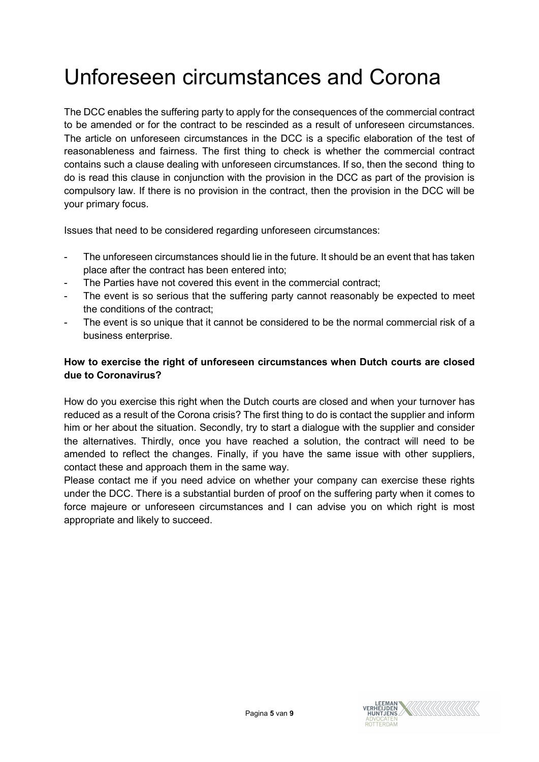## Unforeseen circumstances and Corona

The DCC enables the suffering party to apply for the consequences of the commercial contract to be amended or for the contract to be rescinded as a result of unforeseen circumstances. The article on unforeseen circumstances in the DCC is a specific elaboration of the test of reasonableness and fairness. The first thing to check is whether the commercial contract contains such a clause dealing with unforeseen circumstances. If so, then the second thing to do is read this clause in conjunction with the provision in the DCC as part of the provision is compulsory law. If there is no provision in the contract, then the provision in the DCC will be your primary focus.

Issues that need to be considered regarding unforeseen circumstances:

- The unforeseen circumstances should lie in the future. It should be an event that has taken place after the contract has been entered into;
- The Parties have not covered this event in the commercial contract:
- The event is so serious that the suffering party cannot reasonably be expected to meet the conditions of the contract;
- The event is so unique that it cannot be considered to be the normal commercial risk of a business enterprise.

### How to exercise the right of unforeseen circumstances when Dutch courts are closed due to Coronavirus?

How do you exercise this right when the Dutch courts are closed and when your turnover has reduced as a result of the Corona crisis? The first thing to do is contact the supplier and inform him or her about the situation. Secondly, try to start a dialogue with the supplier and consider the alternatives. Thirdly, once you have reached a solution, the contract will need to be amended to reflect the changes. Finally, if you have the same issue with other suppliers, contact these and approach them in the same way.

Please contact me if you need advice on whether your company can exercise these rights under the DCC. There is a substantial burden of proof on the suffering party when it comes to force majeure or unforeseen circumstances and I can advise you on which right is most appropriate and likely to succeed.

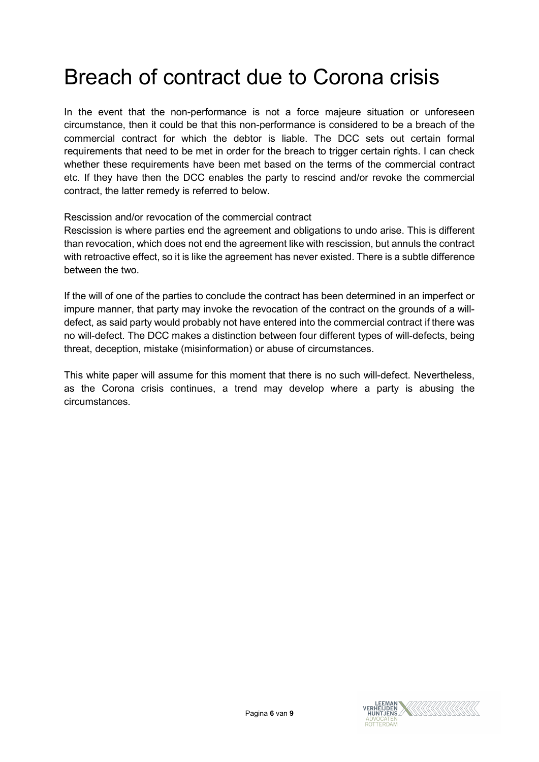### Breach of contract due to Corona crisis

In the event that the non-performance is not a force majeure situation or unforeseen circumstance, then it could be that this non-performance is considered to be a breach of the commercial contract for which the debtor is liable. The DCC sets out certain formal requirements that need to be met in order for the breach to trigger certain rights. I can check whether these requirements have been met based on the terms of the commercial contract etc. If they have then the DCC enables the party to rescind and/or revoke the commercial contract, the latter remedy is referred to below.

Rescission and/or revocation of the commercial contract

Rescission is where parties end the agreement and obligations to undo arise. This is different than revocation, which does not end the agreement like with rescission, but annuls the contract with retroactive effect, so it is like the agreement has never existed. There is a subtle difference between the two.

If the will of one of the parties to conclude the contract has been determined in an imperfect or impure manner, that party may invoke the revocation of the contract on the grounds of a willdefect, as said party would probably not have entered into the commercial contract if there was no will-defect. The DCC makes a distinction between four different types of will-defects, being threat, deception, mistake (misinformation) or abuse of circumstances.

This white paper will assume for this moment that there is no such will-defect. Nevertheless, as the Corona crisis continues, a trend may develop where a party is abusing the circumstances.

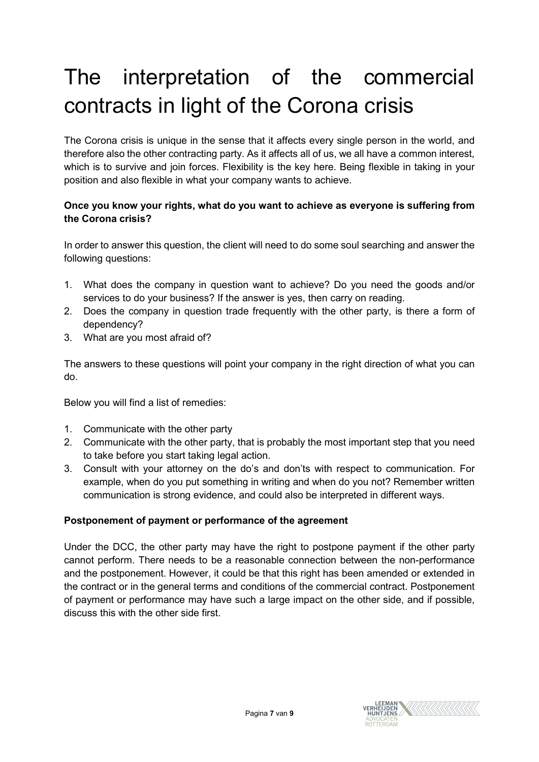## The interpretation of the commercial contracts in light of the Corona crisis

The Corona crisis is unique in the sense that it affects every single person in the world, and therefore also the other contracting party. As it affects all of us, we all have a common interest, which is to survive and join forces. Flexibility is the key here. Being flexible in taking in your position and also flexible in what your company wants to achieve.

### Once you know your rights, what do you want to achieve as everyone is suffering from the Corona crisis?

In order to answer this question, the client will need to do some soul searching and answer the following questions:

- 1. What does the company in question want to achieve? Do you need the goods and/or services to do your business? If the answer is yes, then carry on reading.
- 2. Does the company in question trade frequently with the other party, is there a form of dependency?
- 3. What are you most afraid of?

The answers to these questions will point your company in the right direction of what you can do.

Below you will find a list of remedies:

- 1. Communicate with the other party
- 2. Communicate with the other party, that is probably the most important step that you need to take before you start taking legal action.
- 3. Consult with your attorney on the do's and don'ts with respect to communication. For example, when do you put something in writing and when do you not? Remember written communication is strong evidence, and could also be interpreted in different ways.

### Postponement of payment or performance of the agreement

Under the DCC, the other party may have the right to postpone payment if the other party cannot perform. There needs to be a reasonable connection between the non-performance and the postponement. However, it could be that this right has been amended or extended in the contract or in the general terms and conditions of the commercial contract. Postponement of payment or performance may have such a large impact on the other side, and if possible, discuss this with the other side first.

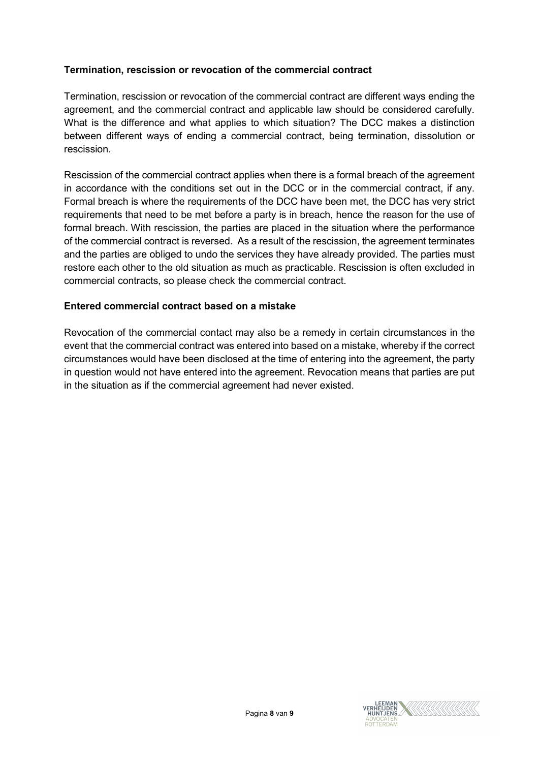### Termination, rescission or revocation of the commercial contract

Termination, rescission or revocation of the commercial contract are different ways ending the agreement, and the commercial contract and applicable law should be considered carefully. What is the difference and what applies to which situation? The DCC makes a distinction between different ways of ending a commercial contract, being termination, dissolution or rescission.

Rescission of the commercial contract applies when there is a formal breach of the agreement in accordance with the conditions set out in the DCC or in the commercial contract, if any. Formal breach is where the requirements of the DCC have been met, the DCC has very strict requirements that need to be met before a party is in breach, hence the reason for the use of formal breach. With rescission, the parties are placed in the situation where the performance of the commercial contract is reversed. As a result of the rescission, the agreement terminates and the parties are obliged to undo the services they have already provided. The parties must restore each other to the old situation as much as practicable. Rescission is often excluded in commercial contracts, so please check the commercial contract.

#### Entered commercial contract based on a mistake

Revocation of the commercial contact may also be a remedy in certain circumstances in the event that the commercial contract was entered into based on a mistake, whereby if the correct circumstances would have been disclosed at the time of entering into the agreement, the party in question would not have entered into the agreement. Revocation means that parties are put in the situation as if the commercial agreement had never existed.